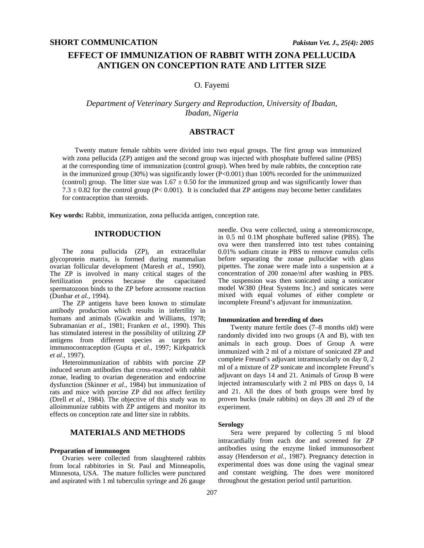# **EFFECT OF IMMUNIZATION OF RABBIT WITH ZONA PELLUCIDA ANTIGEN ON CONCEPTION RATE AND LITTER SIZE**

## O. Fayemi

## *Department of Veterinary Surgery and Reproduction, University of Ibadan, Ibadan, Nigeria*

## **ABSTRACT**

Twenty mature female rabbits were divided into two equal groups. The first group was immunized with zona pellucida (ZP) antigen and the second group was injected with phosphate buffered saline (PBS) at the corresponding time of immunization (control group). When bred by male rabbits, the conception rate in the immunized group  $(30\%)$  was significantly lower  $(P<0.001)$  than 100% recorded for the unimmunized (control) group. The litter size was  $1.67 \pm 0.50$  for the immunized group and was significantly lower than 7.3  $\pm$  0.82 for the control group (P< 0.001). It is concluded that ZP antigens may become better candidates for contraception than steroids.

**Key words:** Rabbit, immunization, zona pellucida antigen, conception rate.

### **INTRODUCTION**

The zona pullucida (ZP), an extracellular glycoprotein matrix, is formed during mammalian ovarian follicular development (Maresh *et al.*, 1990). The ZP is involved in many critical stages of the fertilization process because the capacitated spermatozoon binds to the ZP before acrosome reaction (Dunbar *et al.*, 1994).

The ZP antigens have been known to stimulate antibody production which results in infertility in humans and animals (Gwatkin and Williams, 1978; Subramanian *et al.*, 1981; Franken *et al.*, 1990). This has stimulated interest in the possibility of utilizing ZP antigens from different species as targets for immunocontraception (Gupta *et al.*, 1997; Kirkpatrick *et al.*, 1997).

Heteroimmunization of rabbits with porcine ZP induced serum antibodies that cross-reacted with rabbit zonae, leading to ovarian degeneration and endocrine dysfunction (Skinner *et al.*, 1984) but immunization of rats and mice with porcine ZP did not affect fertility (Drell *et al.*, 1984). The objective of this study was to alloimmunize rabbits with ZP antigens and monitor its effects on conception rate and litter size in rabbits.

## **MATERIALS AND METHODS**

#### **Preparation of immunogen**

Ovaries were collected from slaughtered rabbits from local rabbitories in St. Paul and Minneapolis, Minnesota, USA. The mature follicles were punctured and aspirated with 1 ml tuberculin syringe and 26 gauge

needle. Ova were collected, using a stereomicroscope, in 0.5 ml 0.1M phosphate buffered saline (PBS). The ova were then transferred into test tubes containing 0.01% sodium citrate in PBS to remove cumulus cells before separating the zonae pullucidae with glass pipettes. The zonae were made into a suspension at a concentration of 200 zonae/ml after washing in PBS. The suspension was then sonicated using a sonicator model W380 (Heat Systems Inc.) and sonicates were mixed with equal volumes of either complete or incomplete Freund's adjuvant for immunization.

#### **Immunization and breeding of does**

Twenty mature fertile does (7–8 months old) were randomly divided into two groups (A and B), with ten animals in each group. Does of Group A were immunized with 2 ml of a mixture of sonicated ZP and complete Freund's adjuvant intramuscularly on day 0, 2 ml of a mixture of ZP sonicate and incomplete Freund's adjuvant on days 14 and 21. Animals of Group B were injected intramuscularly with 2 ml PBS on days 0, 14 and 21. All the does of both groups were bred by proven bucks (male rabbits) on days 28 and 29 of the experiment.

#### **Serology**

Sera were prepared by collecting 5 ml blood intracardially from each doe and screened for ZP antibodies using the enzyme linked immunosorbent assay (Henderson *et al.*, 1987). Pregnancy detection in experimental does was done using the vaginal smear and constant weighing. The does were monitored throughout the gestation period until parturition.